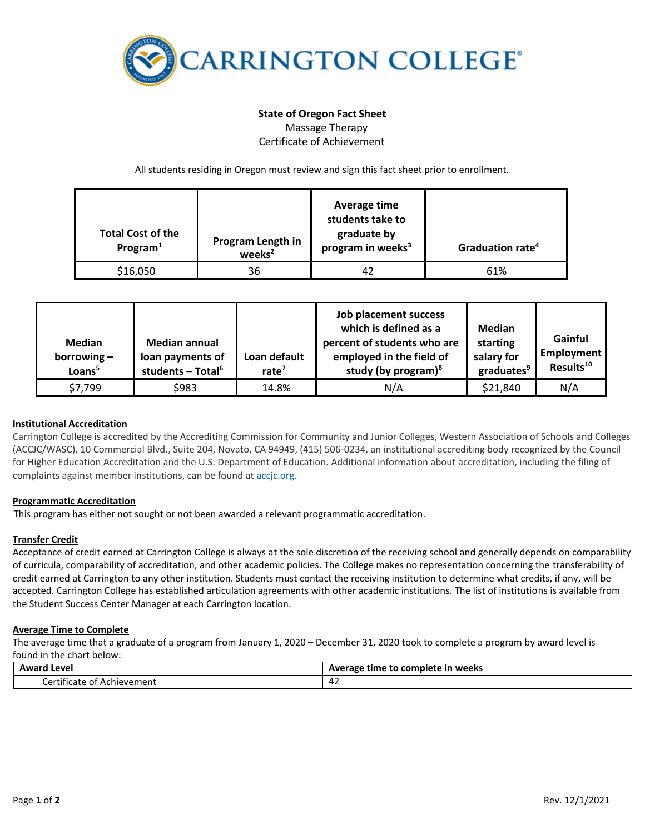

# **State of Oregon Fact Sheet** Massage Therapy

Certificate of Achievement

All students residing in Oregon must review and sign this fact sheet prior to enrollment.

| <b>Total Cost of the</b><br>Program $1$ | Program Length in<br>weeks <sup>2</sup> | Average time<br>students take to<br>graduate by<br>program in weeks <sup>3</sup> | Graduation rate <sup>4</sup> |
|-----------------------------------------|-----------------------------------------|----------------------------------------------------------------------------------|------------------------------|
| \$16,050                                | 36                                      | 42                                                                               | 61%                          |

| <b>Median</b><br>borrowing $-$<br>Loans <sup>5</sup> | <b>Median annual</b><br>loan payments of<br>students - Total <sup>6</sup> | Loan default<br>rate $7$ | Job placement success<br>which is defined as a<br>percent of students who are<br>employed in the field of<br>study (by program) $8$ | Median<br>starting<br>salary for<br>graduates <sup>9</sup> | Gainful<br>Employment<br>Results <sup>10</sup> |
|------------------------------------------------------|---------------------------------------------------------------------------|--------------------------|-------------------------------------------------------------------------------------------------------------------------------------|------------------------------------------------------------|------------------------------------------------|
| \$7,799                                              | \$983                                                                     | 14.8%                    | N/A                                                                                                                                 | \$21,840                                                   | N/A                                            |

# **Institutional Accreditation**

Carrington College is accredited by the Accrediting Commission for Community and Junior Colleges, Western Association of Schools and Colleges (ACCJC/WASC), 10 Commercial Blvd., Suite 204, Novato, CA 94949, (415) 506-0234, an institutional accrediting body recognized by the Council for Higher Education Accreditation and the U.S. Department of Education. Additional information about accreditation, including the filing of complaints against member institutions, can be found a[t accjc.org.](http://www.accjc.org/)

### **Programmatic Accreditation**

This program has either not sought or not been awarded a relevant programmatic accreditation.

### **Transfer Credit**

Acceptance of credit earned at Carrington College is always at the sole discretion of the receiving school and generally depends on comparability of curricula, comparability of accreditation, and other academic policies. The College makes no representation concerning the transferability of credit earned at Carrington to any other institution. Students must contact the receiving institution to determine what credits, if any, will be accepted. Carrington College has established articulation agreements with other academic institutions. The list of institutions is available from the Student Success Center Manager at each Carrington location.

### **Average Time to Complete**

The average time that a graduate of a program from January 1, 2020 – December 31, 2020 took to complete a program by award level is found in the chart below:

| Award                                                               | : to complete in weeks |  |
|---------------------------------------------------------------------|------------------------|--|
| Level                                                               | Average time to        |  |
| .<br>-<br>orti'<br><sup>.</sup> Achievement<br>:tificate<br>01<br>. | $\sim$<br>44 L         |  |